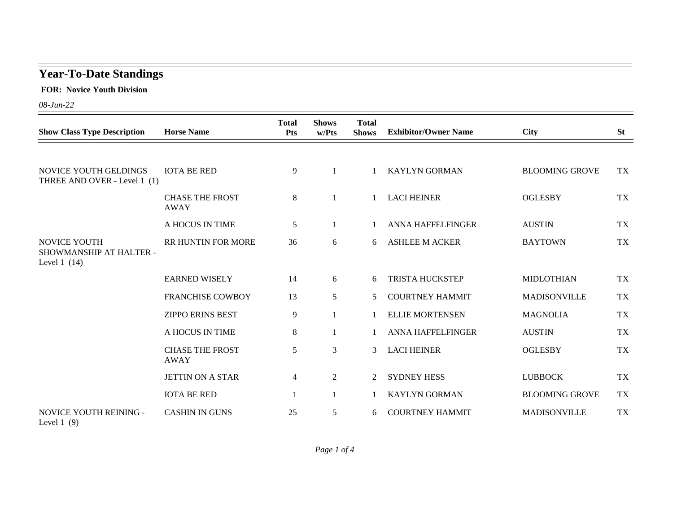## **Year-To-Date Standings**

 **FOR: Novice Youth Division**

*08-Jun-22*

| <b>Show Class Type Description</b>                              | <b>Horse Name</b>                     | <b>Total</b><br><b>Pts</b> | <b>Shows</b><br>w/Pts | <b>Total</b><br><b>Shows</b> | <b>Exhibitor/Owner Name</b> | <b>City</b>           | <b>St</b> |
|-----------------------------------------------------------------|---------------------------------------|----------------------------|-----------------------|------------------------------|-----------------------------|-----------------------|-----------|
|                                                                 |                                       |                            |                       |                              |                             |                       |           |
| NOVICE YOUTH GELDINGS<br>THREE AND OVER - Level 1 (1)           | <b>IOTA BE RED</b>                    | 9                          | $\mathbf{1}$          |                              | <b>KAYLYN GORMAN</b>        | <b>BLOOMING GROVE</b> | <b>TX</b> |
|                                                                 | <b>CHASE THE FROST</b><br><b>AWAY</b> | $8\,$                      | 1                     |                              | <b>LACI HEINER</b>          | <b>OGLESBY</b>        | <b>TX</b> |
|                                                                 | A HOCUS IN TIME                       | 5                          | $\mathbf{1}$          |                              | <b>ANNA HAFFELFINGER</b>    | <b>AUSTIN</b>         | <b>TX</b> |
| <b>NOVICE YOUTH</b><br>SHOWMANSHIP AT HALTER -<br>Level $1(14)$ | RR HUNTIN FOR MORE                    | 36                         | 6                     | 6                            | <b>ASHLEE M ACKER</b>       | <b>BAYTOWN</b>        | <b>TX</b> |
|                                                                 | <b>EARNED WISELY</b>                  | 14                         | 6                     | 6                            | TRISTA HUCKSTEP             | <b>MIDLOTHIAN</b>     | <b>TX</b> |
|                                                                 | <b>FRANCHISE COWBOY</b>               | 13                         | $5\overline{)}$       | 5                            | <b>COURTNEY HAMMIT</b>      | <b>MADISONVILLE</b>   | <b>TX</b> |
|                                                                 | <b>ZIPPO ERINS BEST</b>               | 9                          |                       |                              | <b>ELLIE MORTENSEN</b>      | <b>MAGNOLIA</b>       | <b>TX</b> |
|                                                                 | A HOCUS IN TIME                       | $8\,$                      | 1                     |                              | <b>ANNA HAFFELFINGER</b>    | <b>AUSTIN</b>         | <b>TX</b> |
|                                                                 | <b>CHASE THE FROST</b><br><b>AWAY</b> | 5                          | 3                     | 3                            | <b>LACI HEINER</b>          | <b>OGLESBY</b>        | <b>TX</b> |
|                                                                 | <b>JETTIN ON A STAR</b>               | $\overline{4}$             | $\overline{2}$        | 2                            | <b>SYDNEY HESS</b>          | <b>LUBBOCK</b>        | <b>TX</b> |
|                                                                 | <b>IOTA BE RED</b>                    | 1                          |                       |                              | <b>KAYLYN GORMAN</b>        | <b>BLOOMING GROVE</b> | <b>TX</b> |
| NOVICE YOUTH REINING -<br>Level $1(9)$                          | <b>CASHIN IN GUNS</b>                 | 25                         | 5                     | 6                            | <b>COURTNEY HAMMIT</b>      | <b>MADISONVILLE</b>   | <b>TX</b> |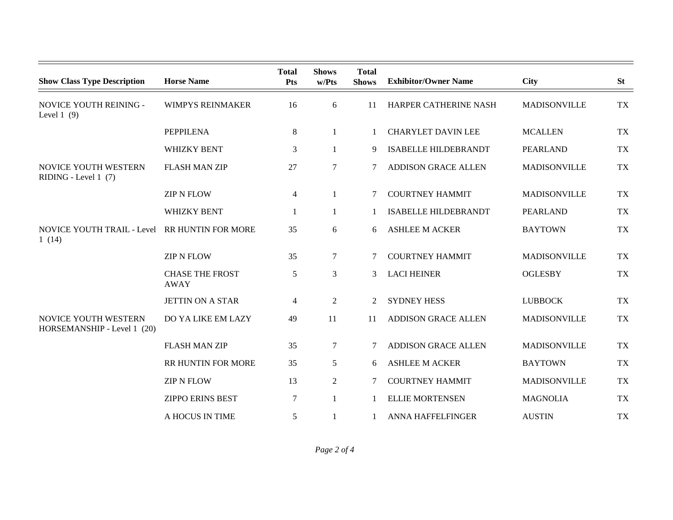| <b>Show Class Type Description</b>                  | <b>Horse Name</b>                     | <b>Total</b><br><b>Pts</b> | <b>Shows</b><br>w/Pts | <b>Total</b><br><b>Shows</b> | <b>Exhibitor/Owner Name</b> | <b>City</b>         | <b>St</b> |
|-----------------------------------------------------|---------------------------------------|----------------------------|-----------------------|------------------------------|-----------------------------|---------------------|-----------|
| NOVICE YOUTH REINING -<br>Level $1(9)$              | <b>WIMPYS REINMAKER</b>               | 16                         | 6                     | 11                           | HARPER CATHERINE NASH       | <b>MADISONVILLE</b> | <b>TX</b> |
|                                                     | <b>PEPPILENA</b>                      | 8                          | $\mathbf{1}$          | $\mathbf{1}$                 | <b>CHARYLET DAVIN LEE</b>   | <b>MCALLEN</b>      | <b>TX</b> |
|                                                     | WHIZKY BENT                           | 3                          |                       | 9                            | <b>ISABELLE HILDEBRANDT</b> | <b>PEARLAND</b>     | <b>TX</b> |
| NOVICE YOUTH WESTERN<br>RIDING - Level 1 (7)        | <b>FLASH MAN ZIP</b>                  | 27                         | $\overline{7}$        | 7                            | <b>ADDISON GRACE ALLEN</b>  | <b>MADISONVILLE</b> | <b>TX</b> |
|                                                     | <b>ZIP N FLOW</b>                     | 4                          | 1                     | 7                            | <b>COURTNEY HAMMIT</b>      | <b>MADISONVILLE</b> | <b>TX</b> |
|                                                     | <b>WHIZKY BENT</b>                    | 1                          | 1                     | 1                            | <b>ISABELLE HILDEBRANDT</b> | <b>PEARLAND</b>     | <b>TX</b> |
| <b>NOVICE YOUTH TRAIL - Level</b><br>1(14)          | RR HUNTIN FOR MORE                    | 35                         | 6                     | 6                            | <b>ASHLEE M ACKER</b>       | <b>BAYTOWN</b>      | <b>TX</b> |
|                                                     | <b>ZIP N FLOW</b>                     | 35                         | $\tau$                | 7                            | <b>COURTNEY HAMMIT</b>      | <b>MADISONVILLE</b> | <b>TX</b> |
|                                                     | <b>CHASE THE FROST</b><br><b>AWAY</b> | $\mathfrak{S}$             | $\mathfrak{Z}$        | 3                            | <b>LACI HEINER</b>          | <b>OGLESBY</b>      | <b>TX</b> |
|                                                     | <b>JETTIN ON A STAR</b>               | $\overline{4}$             | $\overline{2}$        | 2                            | <b>SYDNEY HESS</b>          | <b>LUBBOCK</b>      | <b>TX</b> |
| NOVICE YOUTH WESTERN<br>HORSEMANSHIP - Level 1 (20) | DO YA LIKE EM LAZY                    | 49                         | 11                    | 11                           | <b>ADDISON GRACE ALLEN</b>  | <b>MADISONVILLE</b> | <b>TX</b> |
|                                                     | <b>FLASH MAN ZIP</b>                  | 35                         | $\tau$                | 7                            | <b>ADDISON GRACE ALLEN</b>  | <b>MADISONVILLE</b> | <b>TX</b> |
|                                                     | RR HUNTIN FOR MORE                    | 35                         | 5                     | 6                            | <b>ASHLEE M ACKER</b>       | <b>BAYTOWN</b>      | <b>TX</b> |
|                                                     | <b>ZIP N FLOW</b>                     | 13                         | $\overline{2}$        | 7                            | <b>COURTNEY HAMMIT</b>      | <b>MADISONVILLE</b> | <b>TX</b> |
|                                                     | <b>ZIPPO ERINS BEST</b>               | $\tau$                     |                       |                              | <b>ELLIE MORTENSEN</b>      | <b>MAGNOLIA</b>     | <b>TX</b> |
|                                                     | A HOCUS IN TIME                       | 5                          |                       |                              | <b>ANNA HAFFELFINGER</b>    | <b>AUSTIN</b>       | <b>TX</b> |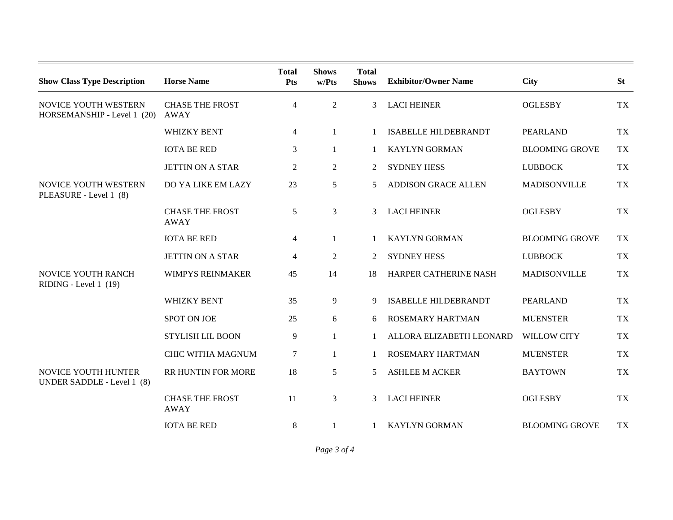| <b>Show Class Type Description</b>                  | <b>Horse Name</b>                     | <b>Total</b><br>Pts | <b>Shows</b><br>w/Pts | <b>Total</b><br><b>Shows</b> | <b>Exhibitor/Owner Name</b> | <b>City</b>           | <b>St</b> |
|-----------------------------------------------------|---------------------------------------|---------------------|-----------------------|------------------------------|-----------------------------|-----------------------|-----------|
| NOVICE YOUTH WESTERN<br>HORSEMANSHIP - Level 1 (20) | <b>CHASE THE FROST</b><br>AWAY        | $\overline{4}$      | 2                     | 3                            | <b>LACI HEINER</b>          | <b>OGLESBY</b>        | <b>TX</b> |
|                                                     | <b>WHIZKY BENT</b>                    | 4                   | 1                     |                              | <b>ISABELLE HILDEBRANDT</b> | <b>PEARLAND</b>       | <b>TX</b> |
|                                                     | <b>IOTA BE RED</b>                    | 3                   | 1                     | 1                            | <b>KAYLYN GORMAN</b>        | <b>BLOOMING GROVE</b> | <b>TX</b> |
|                                                     | <b>JETTIN ON A STAR</b>               | $\overline{2}$      | $\overline{2}$        | 2                            | <b>SYDNEY HESS</b>          | <b>LUBBOCK</b>        | <b>TX</b> |
| NOVICE YOUTH WESTERN<br>PLEASURE - Level 1 (8)      | DO YA LIKE EM LAZY                    | 23                  | 5                     | 5                            | <b>ADDISON GRACE ALLEN</b>  | <b>MADISONVILLE</b>   | <b>TX</b> |
|                                                     | <b>CHASE THE FROST</b><br><b>AWAY</b> | 5                   | 3                     | 3                            | <b>LACI HEINER</b>          | <b>OGLESBY</b>        | <b>TX</b> |
|                                                     | <b>IOTA BE RED</b>                    | 4                   | 1                     |                              | <b>KAYLYN GORMAN</b>        | <b>BLOOMING GROVE</b> | <b>TX</b> |
|                                                     | <b>JETTIN ON A STAR</b>               | $\overline{4}$      | $\overline{2}$        | 2                            | <b>SYDNEY HESS</b>          | <b>LUBBOCK</b>        | <b>TX</b> |
| NOVICE YOUTH RANCH<br>RIDING - Level 1 (19)         | <b>WIMPYS REINMAKER</b>               | 45                  | 14                    | 18                           | HARPER CATHERINE NASH       | <b>MADISONVILLE</b>   | <b>TX</b> |
|                                                     | <b>WHIZKY BENT</b>                    | 35                  | 9                     | 9                            | <b>ISABELLE HILDEBRANDT</b> | <b>PEARLAND</b>       | <b>TX</b> |
|                                                     | <b>SPOT ON JOE</b>                    | 25                  | 6                     | 6                            | <b>ROSEMARY HARTMAN</b>     | <b>MUENSTER</b>       | <b>TX</b> |
|                                                     | <b>STYLISH LIL BOON</b>               | 9                   | $\mathbf{1}$          |                              | ALLORA ELIZABETH LEONARD    | <b>WILLOW CITY</b>    | <b>TX</b> |
|                                                     | <b>CHIC WITHA MAGNUM</b>              | 7                   | 1                     |                              | ROSEMARY HARTMAN            | <b>MUENSTER</b>       | <b>TX</b> |
| NOVICE YOUTH HUNTER<br>UNDER SADDLE - Level 1 (8)   | RR HUNTIN FOR MORE                    | 18                  | 5                     | 5                            | <b>ASHLEE M ACKER</b>       | <b>BAYTOWN</b>        | <b>TX</b> |
|                                                     | <b>CHASE THE FROST</b><br><b>AWAY</b> | 11                  | 3                     | 3                            | <b>LACI HEINER</b>          | <b>OGLESBY</b>        | <b>TX</b> |
|                                                     | <b>IOTA BE RED</b>                    | $8\,$               | 1                     |                              | <b>KAYLYN GORMAN</b>        | <b>BLOOMING GROVE</b> | <b>TX</b> |

*Page 3 of 4*